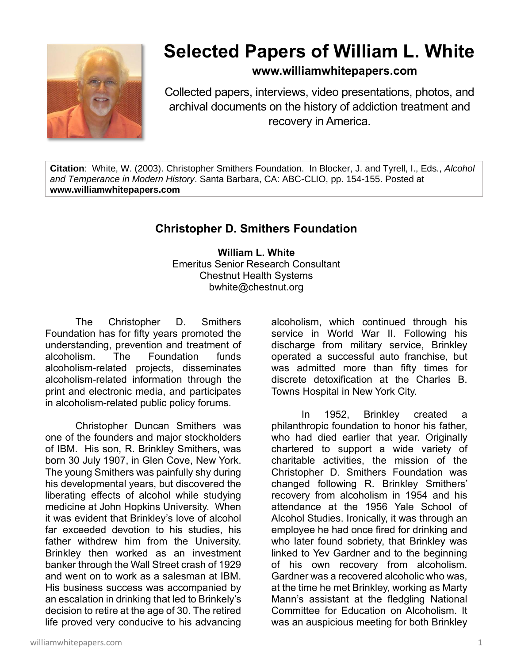

## **Selected Papers of William L. White**

## **www.williamwhitepapers.com**

Collected papers, interviews, video presentations, photos, and archival documents on the history of addiction treatment and recovery in America.

**Citation**: White, W. (2003). Christopher Smithers Foundation. In Blocker, J. and Tyrell, I., Eds., *Alcohol and Temperance in Modern History*. Santa Barbara, CA: ABC-CLIO, pp. 154-155. Posted at **www.williamwhitepapers.com**

## **Christopher D. Smithers Foundation**

**William L. White** Emeritus Senior Research Consultant Chestnut Health Systems bwhite@chestnut.org

The Christopher D. Smithers Foundation has for fifty years promoted the understanding, prevention and treatment of alcoholism. The Foundation funds alcoholism-related projects, disseminates alcoholism-related information through the print and electronic media, and participates in alcoholism-related public policy forums.

Christopher Duncan Smithers was one of the founders and major stockholders of IBM. His son, R. Brinkley Smithers, was born 30 July 1907, in Glen Cove, New York. The young Smithers was painfully shy during his developmental years, but discovered the liberating effects of alcohol while studying medicine at John Hopkins University. When it was evident that Brinkley's love of alcohol far exceeded devotion to his studies, his father withdrew him from the University. Brinkley then worked as an investment banker through the Wall Street crash of 1929 and went on to work as a salesman at IBM. His business success was accompanied by an escalation in drinking that led to Brinkely's decision to retire at the age of 30. The retired life proved very conducive to his advancing

alcoholism, which continued through his service in World War II. Following his discharge from military service, Brinkley operated a successful auto franchise, but was admitted more than fifty times for discrete detoxification at the Charles B. Towns Hospital in New York City.

In 1952, Brinkley created a philanthropic foundation to honor his father, who had died earlier that year. Originally chartered to support a wide variety of charitable activities, the mission of the Christopher D. Smithers Foundation was changed following R. Brinkley Smithers' recovery from alcoholism in 1954 and his attendance at the 1956 Yale School of Alcohol Studies. Ironically, it was through an employee he had once fired for drinking and who later found sobriety, that Brinkley was linked to Yev Gardner and to the beginning of his own recovery from alcoholism. Gardner was a recovered alcoholic who was, at the time he met Brinkley, working as Marty Mann's assistant at the fledgling National Committee for Education on Alcoholism. It was an auspicious meeting for both Brinkley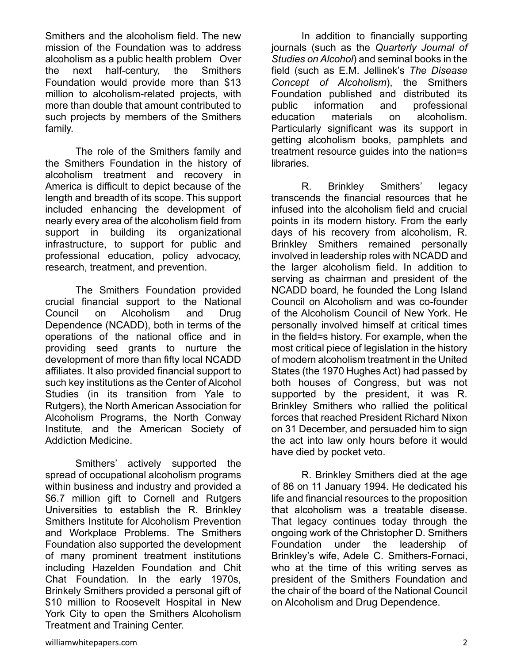Smithers and the alcoholism field. The new mission of the Foundation was to address alcoholism as a public health problem Over the next half-century, the Smithers Foundation would provide more than \$13 million to alcoholism-related projects, with more than double that amount contributed to such projects by members of the Smithers family.

The role of the Smithers family and the Smithers Foundation in the history of alcoholism treatment and recovery in America is difficult to depict because of the length and breadth of its scope. This support included enhancing the development of nearly every area of the alcoholism field from support in building its organizational infrastructure, to support for public and professional education, policy advocacy, research, treatment, and prevention.

The Smithers Foundation provided crucial financial support to the National Council on Alcoholism and Drug Dependence (NCADD), both in terms of the operations of the national office and in providing seed grants to nurture the development of more than fifty local NCADD affiliates. It also provided financial support to such key institutions as the Center of Alcohol Studies (in its transition from Yale to Rutgers), the North American Association for Alcoholism Programs, the North Conway Institute, and the American Society of Addiction Medicine.

Smithers' actively supported the spread of occupational alcoholism programs within business and industry and provided a \$6.7 million gift to Cornell and Rutgers Universities to establish the R. Brinkley Smithers Institute for Alcoholism Prevention and Workplace Problems. The Smithers Foundation also supported the development of many prominent treatment institutions including Hazelden Foundation and Chit Chat Foundation. In the early 1970s, Brinkely Smithers provided a personal gift of \$10 million to Roosevelt Hospital in New York City to open the Smithers Alcoholism Treatment and Training Center.

In addition to financially supporting journals (such as the *Quarterly Journal of Studies on Alcohol*) and seminal books in the field (such as E.M. Jellinek's *The Disease Concept of Alcoholism*), the Smithers Foundation published and distributed its public information and professional education materials on alcoholism. Particularly significant was its support in getting alcoholism books, pamphlets and treatment resource guides into the nation=s libraries.

R. Brinkley Smithers' legacy transcends the financial resources that he infused into the alcoholism field and crucial points in its modern history. From the early days of his recovery from alcoholism, R. Brinkley Smithers remained personally involved in leadership roles with NCADD and the larger alcoholism field. In addition to serving as chairman and president of the NCADD board, he founded the Long Island Council on Alcoholism and was co-founder of the Alcoholism Council of New York. He personally involved himself at critical times in the field=s history. For example, when the most critical piece of legislation in the history of modern alcoholism treatment in the United States (the 1970 Hughes Act) had passed by both houses of Congress, but was not supported by the president, it was R. Brinkley Smithers who rallied the political forces that reached President Richard Nixon on 31 December, and persuaded him to sign the act into law only hours before it would have died by pocket veto.

R. Brinkley Smithers died at the age of 86 on 11 January 1994. He dedicated his life and financial resources to the proposition that alcoholism was a treatable disease. That legacy continues today through the ongoing work of the Christopher D. Smithers Foundation under the leadership of Brinkley's wife, Adele C. Smithers-Fornaci, who at the time of this writing serves as president of the Smithers Foundation and the chair of the board of the National Council on Alcoholism and Drug Dependence.